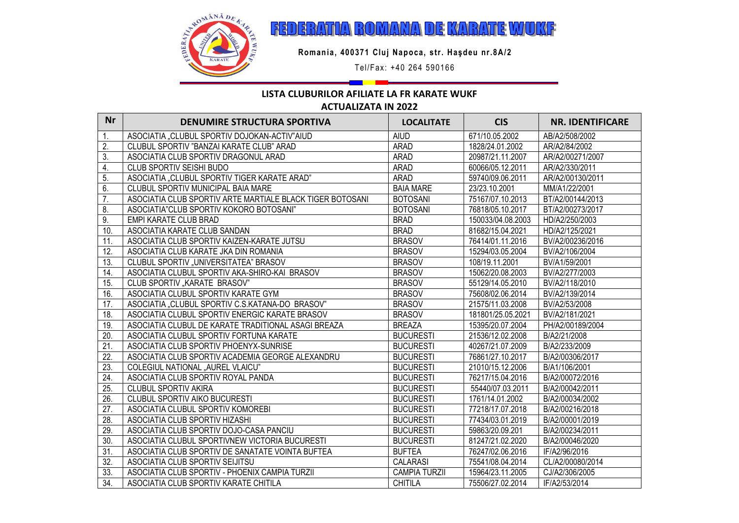

FEDERATIA ROMANA DE KARATE WUKF

**Romania, 400371 Cluj Napoca, str. Haşdeu nr.8A/2**

Tel/Fax: +40 264 590166

## **LISTA CLUBURILOR AFILIATE LA FR KARATE WUKF ACTUALIZATA IN 2022**

**WEB**: **www.wuk f. ro**

| <b>Nr</b>         | <b>DENUMIRE STRUCTURA SPORTIVA</b>                        | <b>LOCALITATE</b>    | <b>CIS</b>        | <b>NR. IDENTIFICARE</b> |
|-------------------|-----------------------------------------------------------|----------------------|-------------------|-------------------------|
| 1.                | ASOCIATIA "CLUBUL SPORTIV DOJOKAN-ACTIV"AIUD              | <b>AIUD</b>          | 671/10.05.2002    | AB/A2/508/2002          |
| $\overline{2}$ .  | CLUBUL SPORTIV "BANZAI KARATE CLUB" ARAD                  | <b>ARAD</b>          | 1828/24.01.2002   | AR/A2/84/2002           |
| $\overline{3}$ .  | ASOCIATIA CLUB SPORTIV DRAGONUL ARAD                      | <b>ARAD</b>          | 20987/21.11.2007  | AR/A2/00271/2007        |
| 4.                | CLUB SPORTIV SEISHI BUDO                                  | <b>ARAD</b>          | 60066/05.12.2011  | AR/A2/330/2011          |
| 5.                | ASOCIATIA "CLUBUL SPORTIV TIGER KARATE ARAD"              | ARAD                 | 59740/09.06.2011  | AR/A2/00130/2011        |
| 6.                | CLUBUL SPORTIV MUNICIPAL BAIA MARE                        | <b>BAIA MARE</b>     | 23/23.10.2001     | MM/A1/22/2001           |
| $\overline{7}$ .  | ASOCIATIA CLUB SPORTIV ARTE MARTIALE BLACK TIGER BOTOSANI | <b>BOTOSANI</b>      | 75167/07.10.2013  | BT/A2/00144/2013        |
| 8.                | ASOCIATIA"CLUB SPORTIV KOKORO BOTOSANI"                   | <b>BOTOSANI</b>      | 76818/05.10.2017  | BT/A2/00273/2017        |
| 9.                | EMPI KARATE CLUB BRAD                                     | <b>BRAD</b>          | 150033/04.08.2003 | HD/A2/250/2003          |
| 10.               | ASOCIATIA KARATE CLUB SANDAN                              | <b>BRAD</b>          | 81682/15.04.2021  | HD/A2/125/2021          |
| 11.               | ASOCIATIA CLUB SPORTIV KAIZEN-KARATE JUTSU                | <b>BRASOV</b>        | 76414/01.11.2016  | BV/A2/00236/2016        |
| 12.               | ASOCIATIA CLUB KARATE JKA DIN ROMANIA                     | <b>BRASOV</b>        | 15294/03.05.2004  | BV/A2/106/2004          |
| 13.               | CLUBUL SPORTIV "UNIVERSITATEA" BRASOV                     | <b>BRASOV</b>        | 108/19.11.2001    | BV/A1/59/2001           |
| 14.               | ASOCIATIA CLUBUL SPORTIV AKA-SHIRO-KAI BRASOV             | <b>BRASOV</b>        | 15062/20.08.2003  | BV/A2/277/2003          |
| 15.               | CLUB SPORTIV "KARATE BRASOV"                              | <b>BRASOV</b>        | 55129/14.05.2010  | BV/A2/118/2010          |
| 16.               | ASOCIATIA CLUBUL SPORTIV KARATE GYM                       | <b>BRASOV</b>        | 75608/02.06.2014  | BV/A2/139/2014          |
| 17.               | ASOCIATIA "CLUBUL SPORTIV C.S.KATANA-DO BRASOV"           | <b>BRASOV</b>        | 21575/11.03.2008  | BV/A2/53/2008           |
| 18.               | ASOCIATIA CLUBUL SPORTIV ENERGIC KARATE BRASOV            | <b>BRASOV</b>        | 181801/25.05.2021 | BV/A2/181/2021          |
| 19.               | ASOCIATIA CLUBUL DE KARATE TRADITIONAL ASAGI BREAZA       | <b>BREAZA</b>        | 15395/20.07.2004  | PH/A2/00189/2004        |
| $\overline{20}$ . | ASOCIATIA CLUBUL SPORTIV FORTUNA KARATE                   | <b>BUCURESTI</b>     | 21536/12.02.2008  | B/A2/21/2008            |
| 21.               | ASOCIATIA CLUB SPORTIV PHOENYX-SUNRISE                    | <b>BUCURESTI</b>     | 40267/21.07.2009  | B/A2/233/2009           |
| 22.               | ASOCIATIA CLUB SPORTIV ACADEMIA GEORGE ALEXANDRU          | <b>BUCURESTI</b>     | 76861/27.10.2017  | B/A2/00306/2017         |
| $\overline{23}$   | COLEGIUL NATIONAL "AUREL VLAICU"                          | <b>BUCURESTI</b>     | 21010/15.12.2006  | B/A1/106/2001           |
| 24.               | ASOCIATIA CLUB SPORTIV ROYAL PANDA                        | <b>BUCURESTI</b>     | 76217/15.04.2016  | B/A2/00072/2016         |
| 25.               | CLUBUL SPORTIV AKIRA                                      | <b>BUCURESTI</b>     | 55440/07.03.2011  | B/A2/00042/2011         |
| $\overline{26}$   | CLUBUL SPORTIV AIKO BUCURESTI                             | <b>BUCURESTI</b>     | 1761/14.01.2002   | B/A2/00034/2002         |
| $\overline{27}$ . | ASOCIATIA CLUBUL SPORTIV KOMOREBI                         | <b>BUCURESTI</b>     | 77218/17.07.2018  | B/A2/00216/2018         |
| 28.               | ASOCIATIA CLUB SPORTIV HIZASHI                            | <b>BUCURESTI</b>     | 77434/03.01.2019  | B/A2/00001/2019         |
| 29.               | ASOCIATIA CLUB SPORTIV DOJO-CASA PANCIU                   | <b>BUCURESTI</b>     | 59863/20.09.201   | B/A2/00234/2011         |
| 30.               | ASOCIATIA CLUBUL SPORTIVNEW VICTORIA BUCURESTI            | <b>BUCURESTI</b>     | 81247/21.02.2020  | B/A2/00046/2020         |
| 31.               | ASOCIATIA CLUB SPORTIV DE SANATATE VOINTA BUFTEA          | <b>BUFTEA</b>        | 76247/02.06.2016  | IF/A2/96/2016           |
| 32.               | ASOCIATIA CLUB SPORTIV SEIJITSU                           | <b>CALARASI</b>      | 75541/08.04.2014  | CL/A2/00080/2014        |
| 33.               | ASOCIATIA CLUB SPORTIV - PHOENIX CAMPIA TURZII            | <b>CAMPIA TURZII</b> | 15964/23.11.2005  | CJ/A2/306/2005          |
| 34.               | ASOCIATIA CLUB SPORTIV KARATE CHITILA                     | <b>CHITILA</b>       | 75506/27.02.2014  | IF/A2/53/2014           |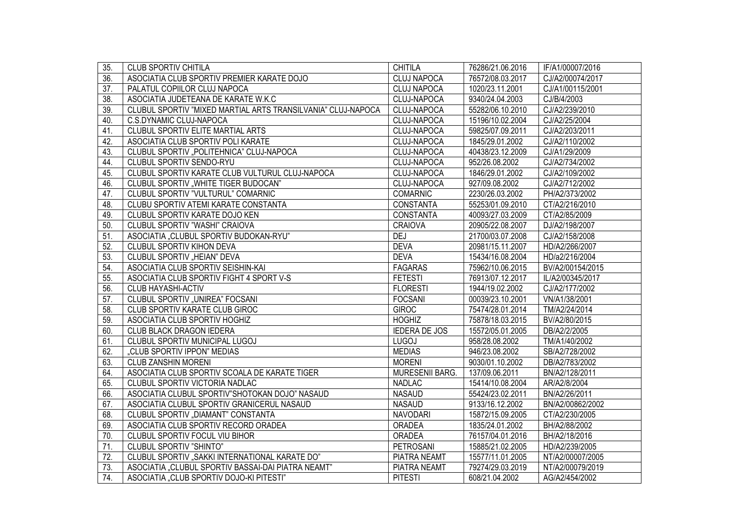| 35.               | <b>CLUB SPORTIV CHITILA</b>                                  | <b>CHITILA</b>       | 76286/21.06.2016 | IF/A1/00007/2016 |
|-------------------|--------------------------------------------------------------|----------------------|------------------|------------------|
| $\overline{36}$ . | ASOCIATIA CLUB SPORTIV PREMIER KARATE DOJO                   | <b>CLUJ NAPOCA</b>   | 76572/08.03.2017 | CJ/A2/00074/2017 |
| $\overline{37}$ . | PALATUL COPIILOR CLUJ NAPOCA                                 | <b>CLUJ NAPOCA</b>   | 1020/23.11.2001  | CJ/A1/00115/2001 |
| $\overline{38}$   | ASOCIATIA JUDETEANA DE KARATE W.K.C                          | <b>CLUJ-NAPOCA</b>   | 9340/24.04.2003  | CJ/B/4/2003      |
| 39.               | CLUBUL SPORTIV "MIXED MARTIAL ARTS TRANSILVANIA" CLUJ-NAPOCA | <b>CLUJ-NAPOCA</b>   | 55282/06.10.2010 | CJ/A2/239/2010   |
| 40.               | C.S.DYNAMIC CLUJ-NAPOCA                                      | CLUJ-NAPOCA          | 15196/10.02.2004 | CJ/A2/25/2004    |
| 41.               | CLUBUL SPORTIV ELITE MARTIAL ARTS                            | CLUJ-NAPOCA          | 59825/07.09.2011 | CJ/A2/203/2011   |
| 42.               | ASOCIATIA CLUB SPORTIV POLI KARATE                           | CLUJ-NAPOCA          | 1845/29.01.2002  | CJ/A2/110/2002   |
| 43.               | CLUBUL SPORTIV "POLITEHNICA" CLUJ-NAPOCA                     | CLUJ-NAPOCA          | 40438/23.12.2009 | CJ/A1/29/2009    |
| 44.               | CLUBUL SPORTIV SENDO-RYU                                     | CLUJ-NAPOCA          | 952/26.08.2002   | CJ/A2/734/2002   |
| 45.               | CLUBUL SPORTIV KARATE CLUB VULTURUL CLUJ-NAPOCA              | CLUJ-NAPOCA          | 1846/29.01.2002  | CJ/A2/109/2002   |
| 46.               | CLUBUL SPORTIV "WHITE TIGER BUDOCAN"                         | CLUJ-NAPOCA          | 927/09.08.2002   | CJ/A2/712/2002   |
| 47.               | CLUBUL SPORTIV "VULTURUL" COMARNIC                           | <b>COMARNIC</b>      | 2230/26.03.2002  | PH/A2/373/2002   |
| 48.               | CLUBU SPORTIV ATEMI KARATE CONSTANTA                         | <b>CONSTANTA</b>     | 55253/01.09.2010 | CT/A2/216/2010   |
| 49.               | CLUBUL SPORTIV KARATE DOJO KEN                               | <b>CONSTANTA</b>     | 40093/27.03.2009 | CT/A2/85/2009    |
| 50.               | CLUBUL SPORTIV "WASHI" CRAIOVA                               | <b>CRAIOVA</b>       | 20905/22.08.2007 | DJ/A2/198/2007   |
| 51.               | ASOCIATIA "CLUBUL SPORTIV BUDOKAN-RYU"                       | <b>DEJ</b>           | 21700/03.07.2008 | CJ/A2/158/2008   |
| 52.               | <b>CLUBUL SPORTIV KIHON DEVA</b>                             | <b>DEVA</b>          | 20981/15.11.2007 | HD/A2/266/2007   |
| 53.               | <b>CLUBUL SPORTIV "HEIAN" DEVA</b>                           | <b>DEVA</b>          | 15434/16.08.2004 | HD/a2/216/2004   |
| 54.               | ASOCIATIA CLUB SPORTIV SEISHIN-KAI                           | <b>FAGARAS</b>       | 75962/10.06.2015 | BV/A2/00154/2015 |
| 55.               | ASOCIATIA CLUB SPORTIV FIGHT 4 SPORT V-S                     | <b>FETESTI</b>       | 76913/07.12.2017 | IL/A2/00345/2017 |
| 56.               | <b>CLUB HAYASHI-ACTIV</b>                                    | <b>FLORESTI</b>      | 1944/19.02.2002  | CJ/A2/177/2002   |
| $\overline{57}$ . | CLUBUL SPORTIV "UNIREA" FOCSANI                              | <b>FOCSANI</b>       | 00039/23.10.2001 | VN/A1/38/2001    |
| 58.               | CLUB SPORTIV KARATE CLUB GIROC                               | <b>GIROC</b>         | 75474/28.01.2014 | TM/A2/24/2014    |
| 59.               | ASOCIATIA CLUB SPORTIV HOGHIZ                                | <b>HOGHIZ</b>        | 75878/18.03.2015 | BV/A2/80/2015    |
| 60.               | CLUB BLACK DRAGON IEDERA                                     | <b>IEDERA DE JOS</b> | 15572/05.01.2005 | DB/A2/2/2005     |
| 61.               | CLUBUL SPORTIV MUNICIPAL LUGOJ                               | <b>LUGOJ</b>         | 958/28.08.2002   | TM/A1/40/2002    |
| 62.               | "CLUB SPORTIV IPPON" MEDIAS                                  | <b>MEDIAS</b>        | 946/23.08.2002   | SB/A2/728/2002   |
| 63.               | <b>CLUB ZANSHIN MORENI</b>                                   | <b>MORENI</b>        | 9030/01.10.2002  | DB/A2/783/2002   |
| 64.               | ASOCIATIA CLUB SPORTIV SCOALA DE KARATE TIGER                | MURESENII BARG.      | 137/09.06.2011   | BN/A2/128/2011   |
| 65.               | CLUBUL SPORTIV VICTORIA NADLAC                               | <b>NADLAC</b>        | 15414/10.08.2004 | AR/A2/8/2004     |
| 66.               | ASOCIATIA CLUBUL SPORTIV"SHOTOKAN DOJO" NASAUD               | <b>NASAUD</b>        | 55424/23.02.2011 | BN/A2/26/2011    |
| 67.               | ASOCIATIA CLUBUL SPORTIV GRANICERUL NASAUD                   | <b>NASAUD</b>        | 9133/16.12.2002  | BN/A2/00862/2002 |
| 68.               | CLUBUL SPORTIV "DIAMANT" CONSTANTA                           | <b>NAVODARI</b>      | 15872/15.09.2005 | CT/A2/230/2005   |
| 69.               | ASOCIATIA CLUB SPORTIV RECORD ORADEA                         | <b>ORADEA</b>        | 1835/24.01.2002  | BH/A2/88/2002    |
| 70.               | CLUBUL SPORTIV FOCUL VIU BIHOR                               | <b>ORADEA</b>        | 76157/04.01.2016 | BH/A2/18/2016    |
| $\overline{71}$ . | <b>CLUBUL SPORTIV "SHINTO"</b>                               | <b>PETROSANI</b>     | 15885/21.02.2005 | HD/A2/239/2005   |
| $\overline{72}$ . | CLUBUL SPORTIV "SAKKI INTERNATIONAL KARATE DO"               | <b>PIATRA NEAMT</b>  | 15577/11.01.2005 | NT/A2/00007/2005 |
| $\overline{73}$ . | ASOCIATIA "CLUBUL SPORTIV BASSAI-DAI PIATRA NEAMT"           | PIATRA NEAMT         | 79274/29.03.2019 | NT/A2/00079/2019 |
| 74.               | ASOCIATIA "CLUB SPORTIV DOJO-KI PITESTI"                     | <b>PITESTI</b>       | 608/21.04.2002   | AG/A2/454/2002   |